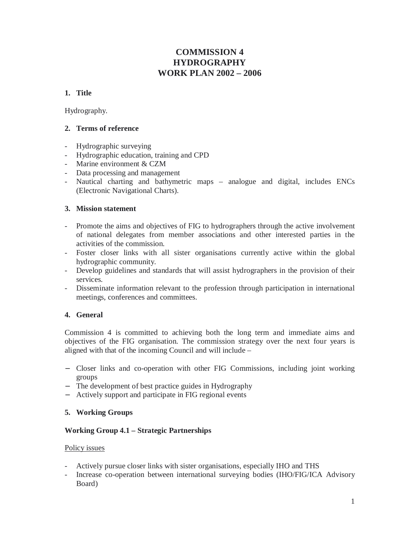# **COMMISSION 4 HYDROGRAPHY WORK PLAN 2002 – 2006**

# **1. Title**

Hydrography.

# **2. Terms of reference**

- Hydrographic surveying
- Hydrographic education, training and CPD
- Marine environment & CZM
- Data processing and management
- Nautical charting and bathymetric maps analogue and digital, includes ENCs (Electronic Navigational Charts).

# **3. Mission statement**

- Promote the aims and objectives of FIG to hydrographers through the active involvement of national delegates from member associations and other interested parties in the activities of the commission.
- Foster closer links with all sister organisations currently active within the global hydrographic community.
- Develop guidelines and standards that will assist hydrographers in the provision of their services.
- Disseminate information relevant to the profession through participation in international meetings, conferences and committees.

# **4. General**

Commission 4 is committed to achieving both the long term and immediate aims and objectives of the FIG organisation. The commission strategy over the next four years is aligned with that of the incoming Council and will include –

- − Closer links and co-operation with other FIG Commissions, including joint working groups
- − The development of best practice guides in Hydrography
- − Actively support and participate in FIG regional events

# **5. Working Groups**

# **Working Group 4.1 – Strategic Partnerships**

# Policy issues

- Actively pursue closer links with sister organisations, especially IHO and THS
- Increase co-operation between international surveying bodies (IHO/FIG/ICA Advisory Board)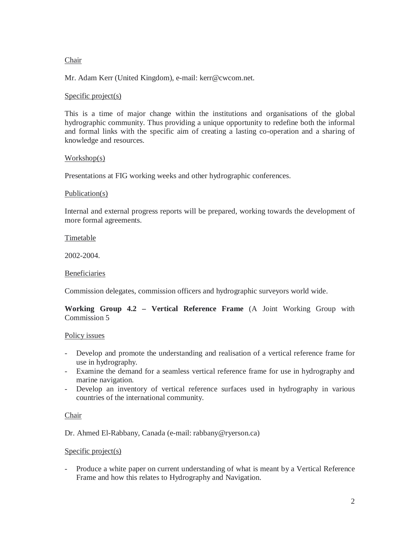### Chair

Mr. Adam Kerr (United Kingdom), e-mail: kerr@cwcom.net.

### Specific project(s)

This is a time of major change within the institutions and organisations of the global hydrographic community. Thus providing a unique opportunity to redefine both the informal and formal links with the specific aim of creating a lasting co-operation and a sharing of knowledge and resources.

### Workshop(s)

Presentations at FIG working weeks and other hydrographic conferences.

### Publication(s)

Internal and external progress reports will be prepared, working towards the development of more formal agreements.

Timetable

2002-2004.

#### Beneficiaries

Commission delegates, commission officers and hydrographic surveyors world wide.

# **Working Group 4.2 – Vertical Reference Frame** (A Joint Working Group with Commission 5

#### Policy issues

- Develop and promote the understanding and realisation of a vertical reference frame for use in hydrography.
- Examine the demand for a seamless vertical reference frame for use in hydrography and marine navigation.
- Develop an inventory of vertical reference surfaces used in hydrography in various countries of the international community.

# Chair

Dr. Ahmed El-Rabbany, Canada (e-mail: rabbany@ryerson.ca)

#### Specific project(s)

- Produce a white paper on current understanding of what is meant by a Vertical Reference Frame and how this relates to Hydrography and Navigation.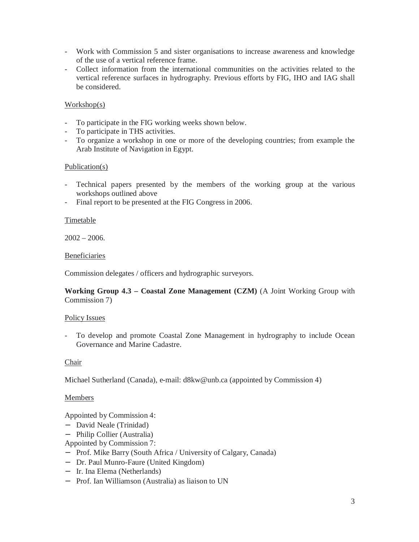- Work with Commission 5 and sister organisations to increase awareness and knowledge of the use of a vertical reference frame.
- Collect information from the international communities on the activities related to the vertical reference surfaces in hydrography. Previous efforts by FIG, IHO and IAG shall be considered.

# Workshop(s)

- To participate in the FIG working weeks shown below.
- To participate in THS activities.
- To organize a workshop in one or more of the developing countries; from example the Arab Institute of Navigation in Egypt.

#### Publication(s)

- Technical papers presented by the members of the working group at the various workshops outlined above
- Final report to be presented at the FIG Congress in 2006.

### Timetable

 $2002 - 2006.$ 

### Beneficiaries

Commission delegates / officers and hydrographic surveyors.

**Working Group 4.3 – Coastal Zone Management (CZM)** (A Joint Working Group with Commission 7)

#### Policy Issues

- To develop and promote Coastal Zone Management in hydrography to include Ocean Governance and Marine Cadastre.

#### Chair

Michael Sutherland (Canada), e-mail: d8kw@unb.ca (appointed by Commission 4)

#### Members

Appointed by Commission 4:

- − David Neale (Trinidad)
- − Philip Collier (Australia)

Appointed by Commission 7:

- − Prof. Mike Barry (South Africa / University of Calgary, Canada)
- − Dr. Paul Munro-Faure (United Kingdom)
- − Ir. Ina Elema (Netherlands)
- − Prof. Ian Williamson (Australia) as liaison to UN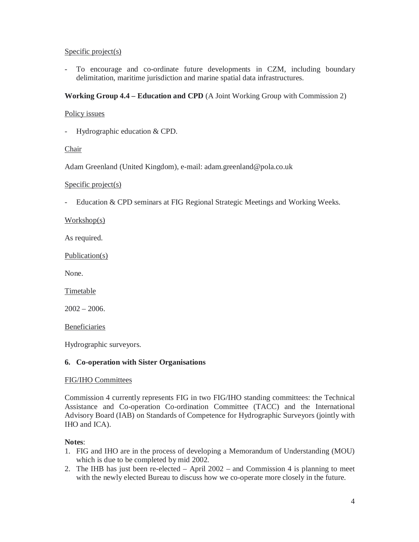### Specific project(s)

- To encourage and co-ordinate future developments in CZM, including boundary delimitation, maritime jurisdiction and marine spatial data infrastructures.

# **Working Group 4.4 – Education and CPD** (A Joint Working Group with Commission 2)

### Policy issues

- Hydrographic education & CPD.

### Chair

Adam Greenland (United Kingdom), e-mail: adam.greenland@pola.co.uk

### Specific project(s)

- Education & CPD seminars at FIG Regional Strategic Meetings and Working Weeks.

Workshop(s)

As required.

Publication(s)

None.

Timetable

 $2002 - 2006$ .

Beneficiaries

Hydrographic surveyors.

# **6. Co-operation with Sister Organisations**

# FIG/IHO Committees

Commission 4 currently represents FIG in two FIG/IHO standing committees: the Technical Assistance and Co-operation Co-ordination Committee (TACC) and the International Advisory Board (IAB) on Standards of Competence for Hydrographic Surveyors (jointly with IHO and ICA).

#### **Notes**:

- 1. FIG and IHO are in the process of developing a Memorandum of Understanding (MOU) which is due to be completed by mid 2002.
- 2. The IHB has just been re-elected April 2002 and Commission 4 is planning to meet with the newly elected Bureau to discuss how we co-operate more closely in the future.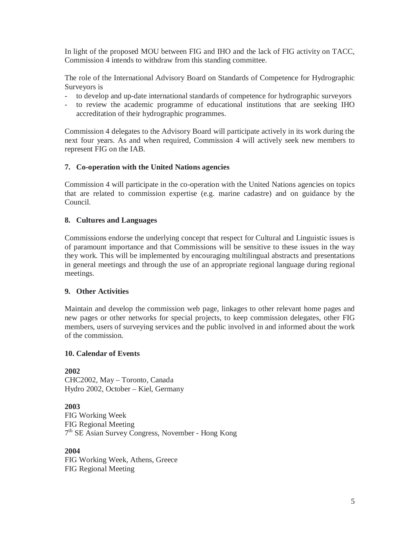In light of the proposed MOU between FIG and IHO and the lack of FIG activity on TACC, Commission 4 intends to withdraw from this standing committee.

The role of the International Advisory Board on Standards of Competence for Hydrographic Surveyors is

- to develop and up-date international standards of competence for hydrographic surveyors
- to review the academic programme of educational institutions that are seeking IHO accreditation of their hydrographic programmes.

Commission 4 delegates to the Advisory Board will participate actively in its work during the next four years. As and when required, Commission 4 will actively seek new members to represent FIG on the IAB.

# **7. Co-operation with the United Nations agencies**

Commission 4 will participate in the co-operation with the United Nations agencies on topics that are related to commission expertise (e.g. marine cadastre) and on guidance by the Council.

### **8. Cultures and Languages**

Commissions endorse the underlying concept that respect for Cultural and Linguistic issues is of paramount importance and that Commissions will be sensitive to these issues in the way they work. This will be implemented by encouraging multilingual abstracts and presentations in general meetings and through the use of an appropriate regional language during regional meetings.

# **9. Other Activities**

Maintain and develop the commission web page, linkages to other relevant home pages and new pages or other networks for special projects, to keep commission delegates, other FIG members, users of surveying services and the public involved in and informed about the work of the commission.

#### **10. Calendar of Events**

**2002** CHC2002, May – Toronto, Canada Hydro 2002, October – Kiel, Germany

**2003** FIG Working Week FIG Regional Meeting 7th SE Asian Survey Congress, November - Hong Kong

**2004** FIG Working Week, Athens, Greece FIG Regional Meeting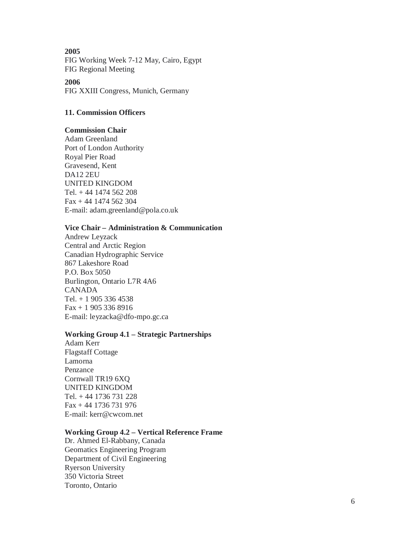**2005** FIG Working Week 7-12 May, Cairo, Egypt FIG Regional Meeting

**2006**  FIG XXIII Congress, Munich, Germany

#### **11. Commission Officers**

#### **Commission Chair**

Adam Greenland Port of London Authority Royal Pier Road Gravesend, Kent DA12 2EU UNITED KINGDOM Tel. + 44 1474 562 208 Fax + 44 1474 562 304 E-mail: adam.greenland@pola.co.uk

#### **Vice Chair – Administration & Communication**

Andrew Leyzack Central and Arctic Region Canadian Hydrographic Service 867 Lakeshore Road P.O. Box 5050 Burlington, Ontario L7R 4A6 CANADA Tel. + 1 905 336 4538 Fax + 1 905 336 8916 E-mail: leyzacka@dfo-mpo.gc.ca

### **Working Group 4.1 – Strategic Partnerships**

Adam Kerr Flagstaff Cottage Lamorna Penzance Cornwall TR19 6XQ UNITED KINGDOM Tel. + 44 1736 731 228 Fax + 44 1736 731 976 E-mail: kerr@cwcom.net

#### **Working Group 4.2 – Vertical Reference Frame**

Dr. Ahmed El-Rabbany, Canada Geomatics Engineering Program Department of Civil Engineering Ryerson University 350 Victoria Street Toronto, Ontario